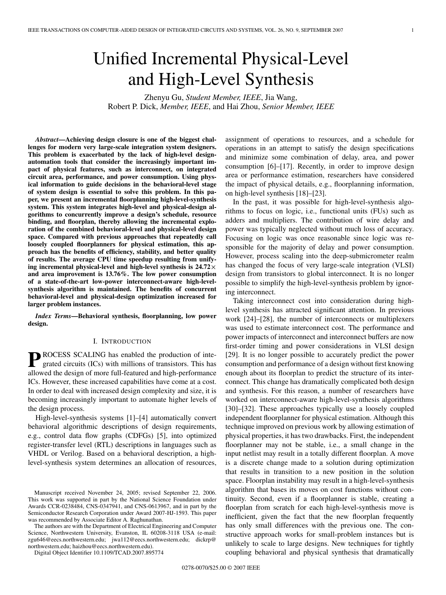# Unified Incremental Physical-Level and High-Level Synthesis

Zhenyu Gu, *Student Member, IEEE*, Jia Wang, Robert P. Dick, *Member, IEEE*, and Hai Zhou, *Senior Member, IEEE*

*Abstract***—Achieving design closure is one of the biggest challenges for modern very large-scale integration system designers. This problem is exacerbated by the lack of high-level designautomation tools that consider the increasingly important impact of physical features, such as interconnect, on integrated circuit area, performance, and power consumption. Using physical information to guide decisions in the behavioral-level stage of system design is essential to solve this problem. In this paper, we present an incremental floorplanning high-level-synthesis system. This system integrates high-level and physical-design algorithms to concurrently improve a design's schedule, resource binding, and floorplan, thereby allowing the incremental exploration of the combined behavioral-level and physical-level design space. Compared with previous approaches that repeatedly call loosely coupled floorplanners for physical estimation, this approach has the benefits of efficiency, stability, and better quality of results. The average CPU time speedup resulting from unifying incremental physical-level and high-level synthesis is 24.72**× **and area improvement is 13.76%. The low power consumption of a state-of-the-art low-power interconnect-aware high-levelsynthesis algorithm is maintained. The benefits of concurrent behavioral-level and physical-design optimization increased for larger problem instances.**

*Index Terms***—Behavioral synthesis, floorplanning, low power design.**

# I. INTRODUCTION

**P** ROCESS SCALING has enabled the production of integrated circuits (ICs) with millions of transistors. This has grated circuits (ICs) with millions of transistors. This has allowed the design of more full-featured and high-performance ICs. However, these increased capabilities have come at a cost. In order to deal with increased design complexity and size, it is becoming increasingly important to automate higher levels of the design process.

High-level-synthesis systems [1]–[4] automatically convert behavioral algorithmic descriptions of design requirements, e.g., control data flow graphs (CDFGs) [5], into optimized register-transfer level (RTL) descriptions in languages such as VHDL or Verilog. Based on a behavioral description, a highlevel-synthesis system determines an allocation of resources,

The authors are with the Department of Electrical Engineering and Computer Science, Northwestern University, Evanston, IL 60208-3118 USA (e-mail: zgu646@eecs.northwestern.edu; jwa112@eecs.northwestern.edu; dickrp@ northwestern.edu; haizhou@eecs.northwestern.edu).

Digital Object Identifier 10.1109/TCAD.2007.895774

assignment of operations to resources, and a schedule for operations in an attempt to satisfy the design specifications and minimize some combination of delay, area, and power consumption [6]–[17]. Recently, in order to improve design area or performance estimation, researchers have considered the impact of physical details, e.g., floorplanning information, on high-level synthesis [18]–[23].

In the past, it was possible for high-level-synthesis algorithms to focus on logic, i.e., functional units (FUs) such as adders and multipliers. The contribution of wire delay and power was typically neglected without much loss of accuracy. Focusing on logic was once reasonable since logic was responsible for the majority of delay and power consumption. However, process scaling into the deep-submicrometer realm has changed the focus of very large-scale integration (VLSI) design from transistors to global interconnect. It is no longer possible to simplify the high-level-synthesis problem by ignoring interconnect.

Taking interconnect cost into consideration during highlevel synthesis has attracted significant attention. In previous work [24]–[28], the number of interconnects or multiplexers was used to estimate interconnect cost. The performance and power impacts of interconnect and interconnect buffers are now first-order timing and power considerations in VLSI design [29]. It is no longer possible to accurately predict the power consumption and performance of a design without first knowing enough about its floorplan to predict the structure of its interconnect. This change has dramatically complicated both design and synthesis. For this reason, a number of researchers have worked on interconnect-aware high-level-synthesis algorithms [30]–[32]. These approaches typically use a loosely coupled independent floorplanner for physical estimation. Although this technique improved on previous work by allowing estimation of physical properties, it has two drawbacks. First, the independent floorplanner may not be stable, i.e., a small change in the input netlist may result in a totally different floorplan. A move is a discrete change made to a solution during optimization that results in transition to a new position in the solution space. Floorplan instability may result in a high-level-synthesis algorithm that bases its moves on cost functions without continuity. Second, even if a floorplanner is stable, creating a floorplan from scratch for each high-level-synthesis move is inefficient, given the fact that the new floorplan frequently has only small differences with the previous one. The constructive approach works for small-problem instances but is unlikely to scale to large designs. New techniques for tightly coupling behavioral and physical synthesis that dramatically

Manuscript received November 24, 2005; revised September 22, 2006. This work was supported in part by the National Science Foundation under Awards CCR-0238484, CNS-0347941, and CNS-0613967, and in part by the Semiconductor Research Corporation under Award 2007-HJ-1593. This paper was recommended by Associate Editor A. Raghunathan.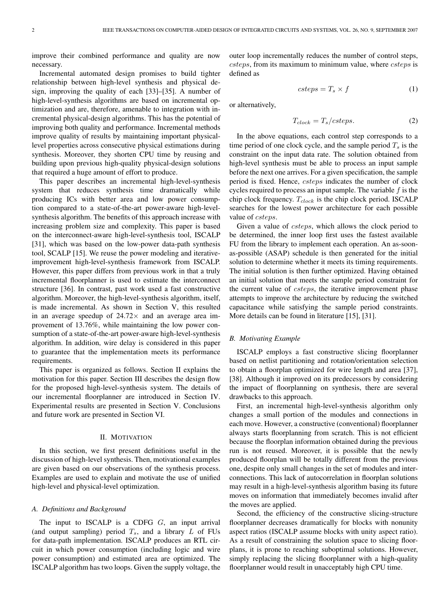improve their combined performance and quality are now necessary.

Incremental automated design promises to build tighter relationship between high-level synthesis and physical design, improving the quality of each [33]–[35]. A number of high-level-synthesis algorithms are based on incremental optimization and are, therefore, amenable to integration with incremental physical-design algorithms. This has the potential of improving both quality and performance. Incremental methods improve quality of results by maintaining important physicallevel properties across consecutive physical estimations during synthesis. Moreover, they shorten CPU time by reusing and building upon previous high-quality physical-design solutions that required a huge amount of effort to produce.

This paper describes an incremental high-level-synthesis system that reduces synthesis time dramatically while producing ICs with better area and low power consumption compared to a state-of-the-art power-aware high-levelsynthesis algorithm. The benefits of this approach increase with increasing problem size and complexity. This paper is based on the interconnect-aware high-level-synthesis tool, ISCALP [31], which was based on the low-power data-path synthesis tool, SCALP [15]. We reuse the power modeling and iterativeimprovement high-level-synthesis framework from ISCALP. However, this paper differs from previous work in that a truly incremental floorplanner is used to estimate the interconnect structure [36]. In contrast, past work used a fast constructive algorithm. Moreover, the high-level-synthesis algorithm, itself, is made incremental. As shown in Section V, this resulted in an average speedup of  $24.72\times$  and an average area improvement of 13.76%, while maintaining the low power consumption of a state-of-the-art power-aware high-level-synthesis algorithm. In addition, wire delay is considered in this paper to guarantee that the implementation meets its performance requirements.

This paper is organized as follows. Section II explains the motivation for this paper. Section III describes the design flow for the proposed high-level-synthesis system. The details of our incremental floorplanner are introduced in Section IV. Experimental results are presented in Section V. Conclusions and future work are presented in Section VI.

## II. MOTIVATION

In this section, we first present definitions useful in the discussion of high-level synthesis. Then, motivational examples are given based on our observations of the synthesis process. Examples are used to explain and motivate the use of unified high-level and physical-level optimization.

## *A. Definitions and Background*

The input to ISCALP is a CDFG  $G$ , an input arrival (and output sampling) period  $T_s$ , and a library  $L$  of FUs for data-path implementation. ISCALP produces an RTL circuit in which power consumption (including logic and wire power consumption) and estimated area are optimized. The ISCALP algorithm has two loops. Given the supply voltage, the outer loop incrementally reduces the number of control steps, csteps, from its maximum to minimum value, where csteps is defined as

$$
csteps = T_s \times f \tag{1}
$$

or alternatively,

$$
T_{clock} = T_s/csteps.
$$
 (2)

In the above equations, each control step corresponds to a time period of one clock cycle, and the sample period  $T_s$  is the constraint on the input data rate. The solution obtained from high-level synthesis must be able to process an input sample before the next one arrives. For a given specification, the sample period is fixed. Hence, csteps indicates the number of clock cycles required to process an input sample. The variable  $f$  is the chip clock frequency.  $T_{clock}$  is the chip clock period. ISCALP searches for the lowest power architecture for each possible value of csteps.

Given a value of *csteps*, which allows the clock period to be determined, the inner loop first uses the fastest available FU from the library to implement each operation. An as-soonas-possible (ASAP) schedule is then generated for the initial solution to determine whether it meets its timing requirements. The initial solution is then further optimized. Having obtained an initial solution that meets the sample period constraint for the current value of csteps, the iterative improvement phase attempts to improve the architecture by reducing the switched capacitance while satisfying the sample period constraints. More details can be found in literature [15], [31].

## *B. Motivating Example*

ISCALP employs a fast constructive slicing floorplanner based on netlist partitioning and rotation/orientation selection to obtain a floorplan optimized for wire length and area [37], [38]. Although it improved on its predecessors by considering the impact of floorplanning on synthesis, there are several drawbacks to this approach.

First, an incremental high-level-synthesis algorithm only changes a small portion of the modules and connections in each move. However, a constructive (conventional) floorplanner always starts floorplanning from scratch. This is not efficient because the floorplan information obtained during the previous run is not reused. Moreover, it is possible that the newly produced floorplan will be totally different from the previous one, despite only small changes in the set of modules and interconnections. This lack of autocorrelation in floorplan solutions may result in a high-level-synthesis algorithm basing its future moves on information that immediately becomes invalid after the moves are applied.

Second, the efficiency of the constructive slicing-structure floorplanner decreases dramatically for blocks with nonunity aspect ratios (ISCALP assume blocks with unity aspect ratio). As a result of constraining the solution space to slicing floorplans, it is prone to reaching suboptimal solutions. However, simply replacing the slicing floorplanner with a high-quality floorplanner would result in unacceptably high CPU time.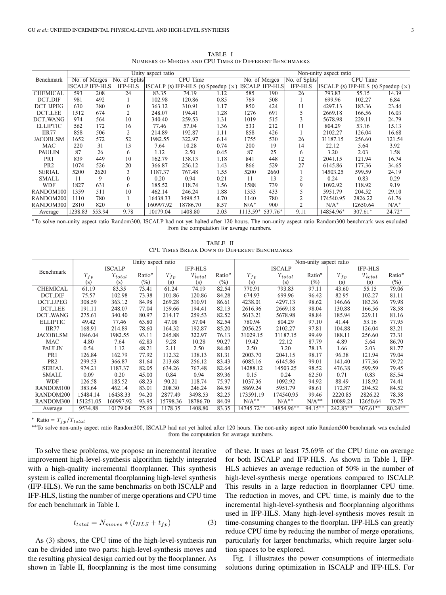TABLE I NUMBERS OF MERGES AND CPU TIMES OF DIFFERENT BENCHMARKS

|                       |         |                       |                | Unity aspect ratio |                                        | Non-unity aspect ratio |            |                       |                |           |                                      |          |
|-----------------------|---------|-----------------------|----------------|--------------------|----------------------------------------|------------------------|------------|-----------------------|----------------|-----------|--------------------------------------|----------|
| Benchmark             |         | No. of Merges         | No. of Splits  |                    | <b>CPU</b> Time                        |                        |            | No. of Merges         | No. of Splits  |           | <b>CPU</b> Time                      |          |
|                       |         | <b>ISCALP IFP-HLS</b> | <b>IFP-HLS</b> |                    | $ ISCALP (s) IFP-HLS (s) Speedup (x) $ |                        |            | <b>ISCALP IFP-HLS</b> | <b>IFP-HLS</b> |           | ISCALP (s) IFP-HLS (s) Speedup $(x)$ |          |
| <b>CHEMICAL</b>       | 593     | 208                   | 24             | 83.35              | 74.19                                  | 1.12                   | 585        | 190                   | 26             | 793.83    | 55.15                                | 14.39    |
| <b>DCT_DIF</b>        | 981     | 492                   |                | 102.98             | 120.86                                 | 0.85                   | 769        | 508                   |                | 699.96    | 102.27                               | 6.84     |
| <b>DCT_IJPEG</b>      | 630     | 380                   | $\Omega$       | 363.12             | 310.91                                 | 1.17                   | 850        | 424                   | 11             | 4297.13   | 183.36                               | 23.44    |
| <b>DCT_LEE</b>        | 1512    | 674                   | $\overline{c}$ | 248.07             | 194.41                                 | 1.28                   | 1276       | 691                   |                | 2669.18   | 166.56                               | 16.03    |
| DCT <sub>-</sub> WANG | 974     | 564                   | 10             | 340.40             | 259.53                                 | 1.31                   | 1019       | 515                   | 3              | 5678.98   | 229.11                               | 24.79    |
| <b>ELLIPTIC</b>       | 562     | 172                   | 16             | 77.46              | 57.04                                  | 1.36                   | 533        | 212                   | 11             | 804.29    | 53.16                                | 15.13    |
| IIR77                 | 858     | 506                   | $\overline{c}$ | 214.89             | 192.87                                 | 1.11                   | 858        | 426                   |                | 2102.27   | 126.04                               | 16.68    |
| <b>JACOBLSM</b>       | 1652    | 572                   | 52             | 1982.55            | 322.97                                 | 6.14                   | 1755       | 530                   | 26             | 31187.15  | 256.60                               | 121.54   |
| MAC                   | 220     | 31                    | 13             | 7.64               | 10.28                                  | 0.74                   | 200        | 19                    | 14             | 22.12     | 5.64                                 | 3.92     |
| <b>PAULIN</b>         | 87      | 26                    | 6              | 1.12               | 2.50                                   | 0.45                   | 87         | 25                    | 6              | 3.20      | 2.03                                 | 1.58     |
| PR <sub>1</sub>       | 839     | 449                   | 10             | 162.79             | 138.13                                 | 1.18                   | 841        | 448                   | 12             | 2041.15   | 121.94                               | 16.74    |
| PR <sub>2</sub>       | 1074    | 526                   | 20             | 366.87             | 256.12                                 | 1.43                   | 866        | 529                   | 27             | 6145.86   | 177.36                               | 34.65    |
| <b>SERIAL</b>         | 5200    | 2620                  | $\mathcal{E}$  | 1187.37            | 767.48                                 | 1.55                   | 5200       | 2660                  |                | 14503.25  | 599.59                               | 24.19    |
| <b>SMALL</b>          | 11      | 9                     | $\Omega$       | 0.20               | 0.94                                   | 0.21                   | 11         | 13                    | $\overline{c}$ | 0.24      | 0.83                                 | 0.29     |
| <b>WDF</b>            | 1827    | 631                   | 6              | 185.52             | 118.74                                 | 1.56                   | 1588       | 739                   | 9              | 1092.92   | 118.92                               | 9.19     |
| RANDOM100             | 1359    | 511                   | 10             | 462.14             | 246.24                                 | 1.88                   | 1353       | 433                   |                | 5951.79   | 204.52                               | 29.10    |
| RANDOM200             | 1110    | 780                   |                | 16438.33           | 3498.53                                | 4.70                   | 1140       | 780                   | $\overline{c}$ | 174540.95 | 2826.22                              | 61.76    |
| RANDOM300             | 2810    | 820                   | $\theta$       | 160997.92          | 18786.70                               | 8.57                   | $N/A^*$    | 900                   | $\overline{c}$ | $N/A^*$   | 12650.64                             | $N/A^*$  |
| Average               | 1238.83 | 553.94                | 9.78           | 10179.04           | 1408.80                                | 2.03                   | $1113.59*$ | $537.76*$             | 9.11           | 14854.96* | $307.61*$                            | $24.72*$ |

\*To solve non-unity aspect ratio Random300, ISCALP had not yet halted after 120 hours. The non-unity aspect ratio Random300 benchmark was excluded from the computation for average numbers.

TABLE II CPU TIMES BREAK DOWN OF DIFFERENT BENCHMARKS

|                       |           |               | Unity aspect ratio |                |                   |        | Non-unity aspect ratio |                   |            |                |             |            |
|-----------------------|-----------|---------------|--------------------|----------------|-------------------|--------|------------------------|-------------------|------------|----------------|-------------|------------|
| Benchmark             |           | <b>ISCALP</b> |                    | <b>IFP-HLS</b> |                   |        | <b>ISCALP</b>          |                   |            | <b>IFP-HLS</b> |             |            |
|                       | $T_{fp}$  | $T_{total}$   | Ratio*             | $T_{fp}$       | $T_{total}$       | Ratio* | $T_{fp}$               | $T_{total}$       | Ratio*     | $T_{fp}$       | $T_{total}$ | Ratio*     |
|                       | (s)       | (s)           | $(\%)$             | (s)            | $\left( s\right)$ | $(\%)$ | (s)                    | $\left( s\right)$ | $(\%)$     | (s)            | (s)         | (%)        |
| <b>CHEMICAL</b>       | 61.19     | 83.35         | 73.41              | 61.24          | 74.19             | 82.54  | 770.91                 | 793.83            | 97.11      | 43.60          | 55.15       | 79.06      |
| <b>DCT_DIF</b>        | 75.57     | 102.98        | 73.38              | 101.86         | 120.86            | 84.28  | 674.93                 | 699.96            | 96.42      | 82.95          | 102.27      | 81.11      |
| <b>DCT_IJPEG</b>      | 308.59    | 363.12        | 84.98              | 269.28         | 310.91            | 86.61  | 4238.01                | 4297.13           | 98.62      | 146.66         | 183.36      | 79.98      |
| <b>DCT_LEE</b>        | 191.11    | 248.07        | 77.04              | 159.66         | 194.41            | 82.13  | 2616.96                | 2669.18           | 98.04      | 130.88         | 166.56      | 78.58      |
| DCT_WANG              | 275.61    | 340.40        | 80.97              | 214.17         | 259.53            | 82.52  | 5613.21                | 5678.98           | 98.84      | 185.94         | 229.11      | 81.16      |
| <b>ELLIPTIC</b>       | 49.42     | 77.46         | 63.80              | 47.08          | 57.04             | 82.54  | 780.94                 | 804.29            | 97.10      | 41.44          | 53.16       | 77.95      |
| IIR77                 | 168.91    | 214.89        | 78.60              | 164.32         | 192.87            | 85.20  | 2056.25                | 2102.27           | 97.81      | 104.88         | 126.04      | 83.21      |
| <b>JACOBLSM</b>       | 1846.04   | 1982.55       | 93.11              | 245.88         | 322.97            | 76.13  | 31029.15               | 31187.15          | 99.49      | 188.11         | 256.60      | 73.31      |
| MAC                   | 4.80      | 7.64          | 62.83              | 9.28           | 10.28             | 90.27  | 19.42                  | 22.12             | 87.79      | 4.89           | 5.64        | 86.70      |
| <b>PAULIN</b>         | 0.54      | 1.12          | 48.21              | 2.11           | 2.50              | 84.40  | 2.50                   | 3.20              | 78.13      | 1.66           | 2.03        | 81.77      |
| PR <sub>1</sub>       | 126.84    | 162.79        | 77.92              | 112.32         | 138.13            | 81.31  | 2003.70                | 2041.15           | 98.17      | 96.38          | 121.94      | 79.04      |
| PR <sub>2</sub>       | 299.53    | 366.87        | 81.64              | 213.68         | 256.12            | 83.43  | 6085.16                | 6145.86           | 99.01      | 141.40         | 177.36      | 79.72      |
| <b>SERIAL</b>         | 974.21    | 1187.37       | 82.05              | 634.26         | 767.48            | 82.64  | 14288.12               | 14503.25          | 98.52      | 476.38         | 599.59      | 79.45      |
| <b>SMALL</b>          | 0.09      | 0.20          | 45.00              | 0.84           | 0.94              | 89.36  | 0.15                   | 0.24              | 62.50      | 0.71           | 0.83        | 85.54      |
| <b>WDF</b>            | 126.58    | 185.52        | 68.23              | 90.21          | 118.74            | 75.97  | 1037.36                | 1092.92           | 94.92      | 88.49          | 118.92      | 74.41      |
| RANDOM <sub>100</sub> | 383.64    | 462.14        | 83.01              | 208.30         | 246.24            | 84.59  | 5869.24                | 5951.79           | 98.61      | 172.87         | 204.52      | 84.52      |
| RANDOM200             | 15484.14  | 16438.33      | 94.20              | 2877.49        | 3498.53           | 82.25  | 173591.19              | 174540.95         | 99.46      | 2220.85        | 2826.22     | 78.58      |
| RANDOM300             | 151251.05 | 160997.92     | 93.95              | 15798.36       | 18786.70          | 84.09  | $N/A**$                | $N/A**$           | $N/A**$    | 10089.21       | 12650.64    | 79.75      |
| Average               | 9534.88   | 10179.04      | 75.69              | 1178.35        | 1408.80           | 83.35  | 14745.72**             | 14854.96**        | $94.15***$ | 242.83**       | $307.61**$  | $80.24***$ |

\* Ratio =  $T_{fp}/T_{total}$ 

\*\* To solve non-unity aspect ratio Random300, ISCALP had not yet halted after 120 hours. The non-unity aspect ratio Random300 benchmark was excluded from the computation for average numbers.

To solve these problems, we propose an incremental iterative improvement high-level-synthesis algorithm tightly integrated with a high-quality incremental floorplanner. This synthesis system is called incremental floorplanning high-level synthesis (IFP-HLS). We run the same benchmarks on both ISCALP and IFP-HLS, listing the number of merge operations and CPU time for each benchmark in Table I.

$$
t_{total} = N_{moves} * (t_{HLS} + t_{fp})
$$
 (3)

As (3) shows, the CPU time of the high-level-synthesis run can be divided into two parts: high-level-synthesis moves and the resulting physical design carried out by the floorplanner. As shown in Table II, floorplanning is the most time consuming

of these. It uses at least 75.69% of the CPU time on average for both ISCALP and IFP-HLS. As shown in Table I, IFP-HLS achieves an average reduction of 50% in the number of high-level-synthesis merge operations compared to ISCALP. This results in a large reduction in floorplanner CPU time. The reduction in moves, and CPU time, is mainly due to the incremental high-level-synthesis and floorplanning algorithms used in IFP-HLS. Many high-level-synthesis moves result in time-consuming changes to the floorplan. IFP-HLS can greatly reduce CPU time by reducing the number of merge operations, particularly for larger benchmarks, which require larger solution spaces to be explored.

Fig. 1 illustrates the power consumptions of intermediate solutions during optimization in ISCALP and IFP-HLS. For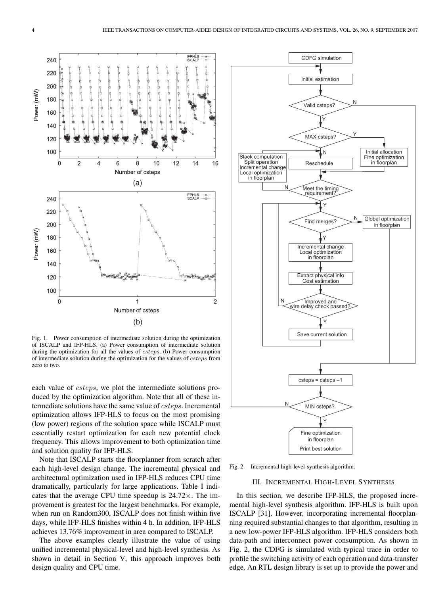

Fig. 1. Power consumption of intermediate solution during the optimization of ISCALP and IFP-HLS. (a) Power consumption of intermediate solution during the optimization for all the values of csteps. (b) Power consumption of intermediate solution during the optimization for the values of csteps from zero to two.

each value of *csteps*, we plot the intermediate solutions produced by the optimization algorithm. Note that all of these intermediate solutions have the same value of csteps. Incremental optimization allows IFP-HLS to focus on the most promising (low power) regions of the solution space while ISCALP must essentially restart optimization for each new potential clock frequency. This allows improvement to both optimization time and solution quality for IFP-HLS.

Note that ISCALP starts the floorplanner from scratch after each high-level design change. The incremental physical and architectural optimization used in IFP-HLS reduces CPU time dramatically, particularly for large applications. Table I indicates that the average CPU time speedup is 24.72×. The improvement is greatest for the largest benchmarks. For example, when run on Random300, ISCALP does not finish within five days, while IFP-HLS finishes within 4 h. In addition, IFP-HLS achieves 13.76% improvement in area compared to ISCALP.

The above examples clearly illustrate the value of using unified incremental physical-level and high-level synthesis. As shown in detail in Section V, this approach improves both design quality and CPU time.



Fig. 2. Incremental high-level-synthesis algorithm.

# III. INCREMENTAL HIGH-LEVEL SYNTHESIS

In this section, we describe IFP-HLS, the proposed incremental high-level synthesis algorithm. IFP-HLS is built upon ISCALP [31]. However, incorporating incremental floorplanning required substantial changes to that algorithm, resulting in a new low-power IFP-HLS algorithm. IFP-HLS considers both data-path and interconnect power consumption. As shown in Fig. 2, the CDFG is simulated with typical trace in order to profile the switching activity of each operation and data-transfer edge. An RTL design library is set up to provide the power and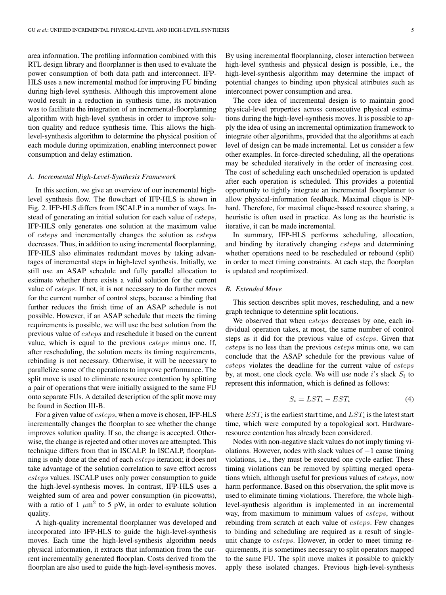area information. The profiling information combined with this RTL design library and floorplanner is then used to evaluate the power consumption of both data path and interconnect. IFP-HLS uses a new incremental method for improving FU binding during high-level synthesis. Although this improvement alone would result in a reduction in synthesis time, its motivation was to facilitate the integration of an incremental-floorplanning algorithm with high-level synthesis in order to improve solution quality and reduce synthesis time. This allows the highlevel-synthesis algorithm to determine the physical position of each module during optimization, enabling interconnect power consumption and delay estimation.

# *A. Incremental High-Level-Synthesis Framework*

In this section, we give an overview of our incremental highlevel synthesis flow. The flowchart of IFP-HLS is shown in Fig. 2. IFP-HLS differs from ISCALP in a number of ways. Instead of generating an initial solution for each value of *csteps*, IFP-HLS only generates one solution at the maximum value of csteps and incrementally changes the solution as csteps decreases. Thus, in addition to using incremental floorplanning, IFP-HLS also eliminates redundant moves by taking advantages of incremental steps in high-level synthesis. Initially, we still use an ASAP schedule and fully parallel allocation to estimate whether there exists a valid solution for the current value of csteps. If not, it is not necessary to do further moves for the current number of control steps, because a binding that further reduces the finish time of an ASAP schedule is not possible. However, if an ASAP schedule that meets the timing requirements is possible, we will use the best solution from the previous value of csteps and reschedule it based on the current value, which is equal to the previous csteps minus one. If, after rescheduling, the solution meets its timing requirements, rebinding is not necessary. Otherwise, it will be necessary to parallelize some of the operations to improve performance. The split move is used to eliminate resource contention by splitting a pair of operations that were initially assigned to the same FU onto separate FUs. A detailed description of the split move may be found in Section III-B.

For a given value of *csteps*, when a move is chosen, IFP-HLS incrementally changes the floorplan to see whether the change improves solution quality. If so, the change is accepted. Otherwise, the change is rejected and other moves are attempted. This technique differs from that in ISCALP. In ISCALP, floorplanning is only done at the end of each csteps iteration; it does not take advantage of the solution correlation to save effort across csteps values. ISCALP uses only power consumption to guide the high-level-synthesis moves. In contrast, IFP-HLS uses a weighted sum of area and power consumption (in picowatts), with a ratio of 1  $\mu$ m<sup>2</sup> to 5 pW, in order to evaluate solution quality.

A high-quality incremental floorplanner was developed and incorporated into IFP-HLS to guide the high-level-synthesis moves. Each time the high-level-synthesis algorithm needs physical information, it extracts that information from the current incrementally generated floorplan. Costs derived from the floorplan are also used to guide the high-level-synthesis moves.

By using incremental floorplanning, closer interaction between high-level synthesis and physical design is possible, i.e., the high-level-synthesis algorithm may determine the impact of potential changes to binding upon physical attributes such as interconnect power consumption and area.

The core idea of incremental design is to maintain good physical-level properties across consecutive physical estimations during the high-level-synthesis moves. It is possible to apply the idea of using an incremental optimization framework to integrate other algorithms, provided that the algorithms at each level of design can be made incremental. Let us consider a few other examples. In force-directed scheduling, all the operations may be scheduled iteratively in the order of increasing cost. The cost of scheduling each unscheduled operation is updated after each operation is scheduled. This provides a potential opportunity to tightly integrate an incremental floorplanner to allow physical-information feedback. Maximal clique is NPhard. Therefore, for maximal clique-based resource sharing, a heuristic is often used in practice. As long as the heuristic is iterative, it can be made incremental.

In summary, IFP-HLS performs scheduling, allocation, and binding by iteratively changing csteps and determining whether operations need to be rescheduled or rebound (split) in order to meet timing constraints. At each step, the floorplan is updated and reoptimized.

### *B. Extended Move*

This section describes split moves, rescheduling, and a new graph technique to determine split locations.

We observed that when *csteps* decreases by one, each individual operation takes, at most, the same number of control steps as it did for the previous value of csteps. Given that csteps is no less than the previous csteps minus one, we can conclude that the ASAP schedule for the previous value of csteps violates the deadline for the current value of csteps by, at most, one clock cycle. We will use node i's slack  $S_i$  to represent this information, which is defined as follows:

$$
S_i = LSTM_i - EST_i \tag{4}
$$

where  $EST_i$  is the earliest start time, and  $LST_i$  is the latest start time, which were computed by a topological sort. Hardwareresource contention has already been considered.

Nodes with non-negative slack values do not imply timing violations. However, nodes with slack values of  $-1$  cause timing violations, i.e., they must be executed one cycle earlier. These timing violations can be removed by splitting merged operations which, although useful for previous values of *csteps*, now harm performance. Based on this observation, the split move is used to eliminate timing violations. Therefore, the whole highlevel-synthesis algorithm is implemented in an incremental way, from maximum to minimum values of csteps, without rebinding from scratch at each value of csteps. Few changes to binding and scheduling are required as a result of singleunit change to csteps. However, in order to meet timing requirements, it is sometimes necessary to split operators mapped to the same FU. The split move makes it possible to quickly apply these isolated changes. Previous high-level-synthesis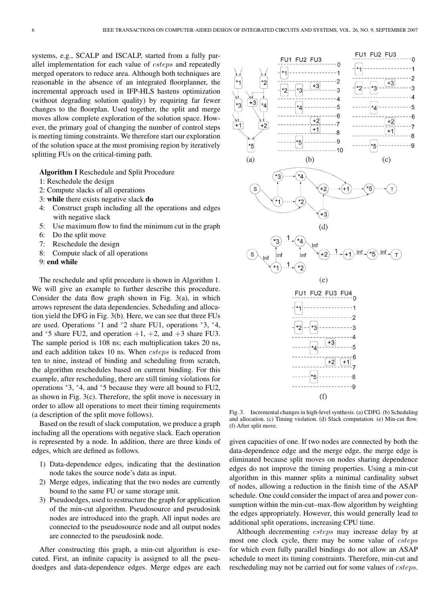systems, e.g., SCALP and ISCALP, started from a fully parallel implementation for each value of csteps and repeatedly merged operators to reduce area. Although both techniques are reasonable in the absence of an integrated floorplanner, the incremental approach used in IFP-HLS hastens optimization (without degrading solution quality) by requiring far fewer changes to the floorplan. Used together, the split and merge moves allow complete exploration of the solution space. However, the primary goal of changing the number of control steps is meeting timing constraints. We therefore start our exploration of the solution space at the most promising region by iteratively splitting FUs on the critical-timing path.

**Algorithm I** Reschedule and Split Procedure

- 1: Reschedule the design
- 2: Compute slacks of all operations
- 3: **while** there exists negative slack **do**
- 4: Construct graph including all the operations and edges with negative slack
- 5: Use maximum flow to find the minimum cut in the graph
- 6: Do the split move
- 7: Reschedule the design
- 8: Compute slack of all operations
- 9: **end while**

The reschedule and split procedure is shown in Algorithm 1. We will give an example to further describe this procedure. Consider the data flow graph shown in Fig. 3(a), in which arrows represent the data dependencies. Scheduling and allocation yield the DFG in Fig. 3(b). Here, we can see that three FUs are used. Operations <sup>∗</sup>1 and <sup>∗</sup>2 share FU1, operations <sup>∗</sup>3, <sup>∗</sup>4, and  $*5$  share FU2, and operation  $+1$ ,  $+2$ , and  $+3$  share FU3. The sample period is 108 ns; each multiplication takes 20 ns, and each addition takes 10 ns. When csteps is reduced from ten to nine, instead of binding and scheduling from scratch, the algorithm reschedules based on current binding. For this example, after rescheduling, there are still timing violations for operations <sup>∗</sup>3, <sup>∗</sup>4, and <sup>∗</sup>5 because they were all bound to FU2, as shown in Fig. 3(c). Therefore, the split move is necessary in order to allow all operations to meet their timing requirements (a description of the split move follows).

Based on the result of slack computation, we produce a graph including all the operations with negative slack. Each operation is represented by a node. In addition, there are three kinds of edges, which are defined as follows.

- 1) Data-dependence edges, indicating that the destination node takes the source node's data as input.
- 2) Merge edges, indicating that the two nodes are currently bound to the same FU or same storage unit.
- 3) Pseudoedges, used to restructure the graph for application of the min-cut algorithm. Pseudosource and pseudosink nodes are introduced into the graph. All input nodes are connected to the pseudosource node and all output nodes are connected to the pseudosink node.

After constructing this graph, a min-cut algorithm is executed. First, an infinite capacity is assigned to all the pseudoedges and data-dependence edges. Merge edges are each



Fig. 3. Incremental changes in high-level synthesis. (a) CDFG. (b) Scheduling and allocation. (c) Timing violation. (d) Slack computation. (e) Min-cut flow. (f) After split move.

given capacities of one. If two nodes are connected by both the data-dependence edge and the merge edge, the merge edge is eliminated because split moves on nodes sharing dependence edges do not improve the timing properties. Using a min-cut algorithm in this manner splits a minimal cardinality subset of nodes, allowing a reduction in the finish time of the ASAP schedule. One could consider the impact of area and power consumption within the min-cut–max-flow algorithm by weighting the edges appropriately. However, this would generally lead to additional split operations, increasing CPU time.

Although decrementing csteps may increase delay by at most one clock cycle, there may be some value of csteps for which even fully parallel bindings do not allow an ASAP schedule to meet its timing constraints. Therefore, min-cut and rescheduling may not be carried out for some values of csteps.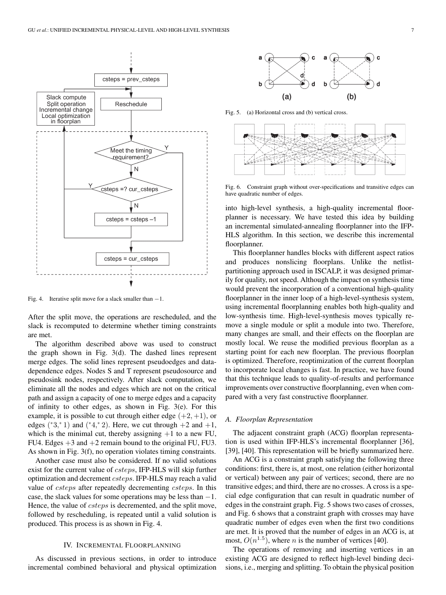

Fig. 4. Iterative split move for a slack smaller than  $-1$ .

After the split move, the operations are rescheduled, and the slack is recomputed to determine whether timing constraints are met.

The algorithm described above was used to construct the graph shown in Fig. 3(d). The dashed lines represent merge edges. The solid lines represent pseudoedges and datadependence edges. Nodes S and T represent pseudosource and pseudosink nodes, respectively. After slack computation, we eliminate all the nodes and edges which are not on the critical path and assign a capacity of one to merge edges and a capacity of infinity to other edges, as shown in Fig. 3(e). For this example, it is possible to cut through either edge  $(+2, +1)$ , or edges  $(*3, *1)$  and  $(*4, *2)$ . Here, we cut through  $+2$  and  $+1$ , which is the minimal cut, thereby assigning  $+1$  to a new FU, FU4. Edges  $+3$  and  $+2$  remain bound to the original FU, FU3. As shown in Fig. 3(f), no operation violates timing constraints.

Another case must also be considered. If no valid solutions exist for the current value of csteps, IFP-HLS will skip further optimization and decrement csteps. IFP-HLS may reach a valid value of csteps after repeatedly decrementing csteps. In this case, the slack values for some operations may be less than  $-1$ . Hence, the value of *csteps* is decremented, and the split move, followed by rescheduling, is repeated until a valid solution is produced. This process is as shown in Fig. 4.

# IV. INCREMENTAL FLOORPLANNING

As discussed in previous sections, in order to introduce incremental combined behavioral and physical optimization



Fig. 5. (a) Horizontal cross and (b) vertical cross.



Fig. 6. Constraint graph without over-specifications and transitive edges can have quadratic number of edges.

into high-level synthesis, a high-quality incremental floorplanner is necessary. We have tested this idea by building an incremental simulated-annealing floorplanner into the IFP-HLS algorithm. In this section, we describe this incremental floorplanner.

This floorplanner handles blocks with different aspect ratios and produces nonslicing floorplans. Unlike the netlistpartitioning approach used in ISCALP, it was designed primarily for quality, not speed. Although the impact on synthesis time would prevent the incorporation of a conventional high-quality floorplanner in the inner loop of a high-level-synthesis system, using incremental floorplanning enables both high-quality and low-synthesis time. High-level-synthesis moves typically remove a single module or split a module into two. Therefore, many changes are small, and their effects on the floorplan are mostly local. We reuse the modified previous floorplan as a starting point for each new floorplan. The previous floorplan is optimized. Therefore, reoptimization of the current floorplan to incorporate local changes is fast. In practice, we have found that this technique leads to quality-of-results and performance improvements over constructive floorplanning, even when compared with a very fast constructive floorplanner.

#### *A. Floorplan Representation*

The adjacent constraint graph (ACG) floorplan representation is used within IFP-HLS's incremental floorplanner [36], [39], [40]. This representation will be briefly summarized here.

An ACG is a constraint graph satisfying the following three conditions: first, there is, at most, one relation (either horizontal or vertical) between any pair of vertices; second, there are no transitive edges; and third, there are no crosses. A cross is a special edge configuration that can result in quadratic number of edges in the constraint graph. Fig. 5 shows two cases of crosses, and Fig. 6 shows that a constraint graph with crosses may have quadratic number of edges even when the first two conditions are met. It is proved that the number of edges in an ACG is, at most,  $O(n^{1.5})$ , where *n* is the number of vertices [40].

The operations of removing and inserting vertices in an existing ACG are designed to reflect high-level binding decisions, i.e., merging and splitting. To obtain the physical position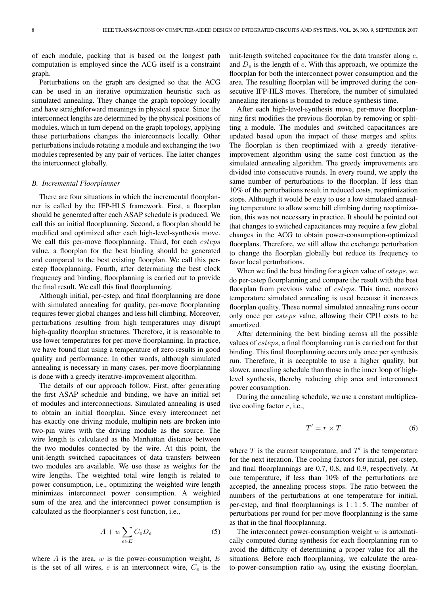of each module, packing that is based on the longest path computation is employed since the ACG itself is a constraint graph.

Perturbations on the graph are designed so that the ACG can be used in an iterative optimization heuristic such as simulated annealing. They change the graph topology locally and have straightforward meanings in physical space. Since the interconnect lengths are determined by the physical positions of modules, which in turn depend on the graph topology, applying these perturbations changes the interconnects locally. Other perturbations include rotating a module and exchanging the two modules represented by any pair of vertices. The latter changes the interconnect globally.

#### *B. Incremental Floorplanner*

There are four situations in which the incremental floorplanner is called by the IFP-HLS framework. First, a floorplan should be generated after each ASAP schedule is produced. We call this an initial floorplanning. Second, a floorplan should be modified and optimized after each high-level-synthesis move. We call this per-move floorplanning. Third, for each *csteps* value, a floorplan for the best binding should be generated and compared to the best existing floorplan. We call this percstep floorplanning. Fourth, after determining the best clock frequency and binding, floorplanning is carried out to provide the final result. We call this final floorplanning.

Although initial, per-cstep, and final floorplanning are done with simulated annealing for quality, per-move floorplanning requires fewer global changes and less hill climbing. Moreover, perturbations resulting from high temperatures may disrupt high-quality floorplan structures. Therefore, it is reasonable to use lower temperatures for per-move floorplanning. In practice, we have found that using a temperature of zero results in good quality and performance. In other words, although simulated annealing is necessary in many cases, per-move floorplanning is done with a greedy iterative-improvement algorithm.

The details of our approach follow. First, after generating the first ASAP schedule and binding, we have an initial set of modules and interconnections. Simulated annealing is used to obtain an initial floorplan. Since every interconnect net has exactly one driving module, multipin nets are broken into two-pin wires with the driving module as the source. The wire length is calculated as the Manhattan distance between the two modules connected by the wire. At this point, the unit-length switched capacitances of data transfers between two modules are available. We use these as weights for the wire lengths. The weighted total wire length is related to power consumption, i.e., optimizing the weighted wire length minimizes interconnect power consumption. A weighted sum of the area and the interconnect power consumption is calculated as the floorplanner's cost function, i.e.,

$$
A + w \sum_{e \in E} C_e D_e \tag{5}
$$

where  $A$  is the area,  $w$  is the power-consumption weight,  $E$ is the set of all wires,  $e$  is an interconnect wire,  $C_e$  is the unit-length switched capacitance for the data transfer along  $e$ , and  $D_e$  is the length of e. With this approach, we optimize the floorplan for both the interconnect power consumption and the area. The resulting floorplan will be improved during the consecutive IFP-HLS moves. Therefore, the number of simulated annealing iterations is bounded to reduce synthesis time.

After each high-level-synthesis move, per-move floorplanning first modifies the previous floorplan by removing or splitting a module. The modules and switched capacitances are updated based upon the impact of these merges and splits. The floorplan is then reoptimized with a greedy iterativeimprovement algorithm using the same cost function as the simulated annealing algorithm. The greedy improvements are divided into consecutive rounds. In every round, we apply the same number of perturbations to the floorplan. If less than 10% of the perturbations result in reduced costs, reoptimization stops. Although it would be easy to use a low simulated annealing temperature to allow some hill climbing during reoptimization, this was not necessary in practice. It should be pointed out that changes to switched capacitances may require a few global changes in the ACG to obtain power-consumption-optimized floorplans. Therefore, we still allow the exchange perturbation to change the floorplan globally but reduce its frequency to favor local perturbations.

When we find the best binding for a given value of *csteps*, we do per-cstep floorplanning and compare the result with the best floorplan from previous value of *csteps*. This time, nonzero temperature simulated annealing is used because it increases floorplan quality. These normal simulated annealing runs occur only once per csteps value, allowing their CPU costs to be amortized.

After determining the best binding across all the possible values of csteps, a final floorplanning run is carried out for that binding. This final floorplanning occurs only once per synthesis run. Therefore, it is acceptable to use a higher quality, but slower, annealing schedule than those in the inner loop of highlevel synthesis, thereby reducing chip area and interconnect power consumption.

During the annealing schedule, we use a constant multiplicative cooling factor  $r$ , i.e.,

$$
T' = r \times T \tag{6}
$$

where  $T$  is the current temperature, and  $T'$  is the temperature for the next iteration. The cooling factors for initial, per-cstep, and final floorplannings are 0.7, 0.8, and 0.9, respectively. At one temperature, if less than 10% of the perturbations are accepted, the annealing process stops. The ratio between the numbers of the perturbations at one temperature for initial, per-cstep, and final floorplannings is 1 : 1 : 5. The number of perturbations per round for per-move floorplanning is the same as that in the final floorplanning.

The interconnect power-consumption weight  $w$  is automatically computed during synthesis for each floorplanning run to avoid the difficulty of determining a proper value for all the situations. Before each floorplanning, we calculate the areato-power-consumption ratio  $w_0$  using the existing floorplan,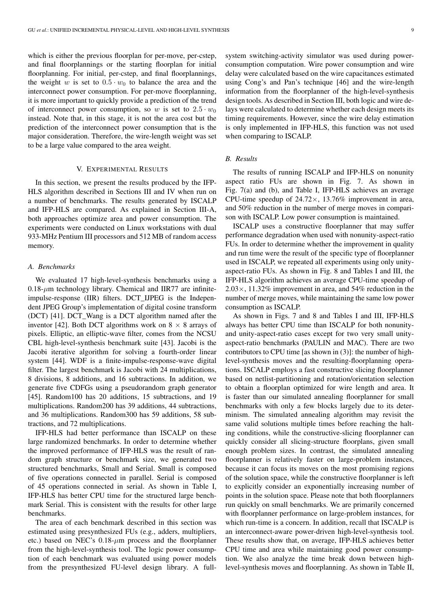which is either the previous floorplan for per-move, per-cstep, and final floorplannings or the starting floorplan for initial floorplanning. For initial, per-cstep, and final floorplannings, the weight w is set to  $0.5 \cdot w_0$  to balance the area and the interconnect power consumption. For per-move floorplanning, it is more important to quickly provide a prediction of the trend of interconnect power consumption, so w is set to  $2.5 \cdot w_0$ instead. Note that, in this stage, it is not the area cost but the prediction of the interconnect power consumption that is the major consideration. Therefore, the wire-length weight was set to be a large value compared to the area weight.

# V. EXPERIMENTAL RESULTS

In this section, we present the results produced by the IFP-HLS algorithm described in Sections III and IV when run on a number of benchmarks. The results generated by ISCALP and IFP-HLS are compared. As explained in Section III-A, both approaches optimize area and power consumption. The experiments were conducted on Linux workstations with dual 933-MHz Pentium III processors and 512 MB of random access memory.

#### *A. Benchmarks*

We evaluated 17 high-level-synthesis benchmarks using a  $0.18$ - $\mu$ m technology library. Chemical and IIR77 are infiniteimpulse-response (IIR) filters. DCT\_IJPEG is the Independent JPEG Group's implementation of digital cosine transform (DCT) [41]. DCT\_Wang is a DCT algorithm named after the inventor [42]. Both DCT algorithms work on  $8 \times 8$  arrays of pixels. Elliptic, an elliptic-wave filter, comes from the NCSU CBL high-level-synthesis benchmark suite [43]. Jacobi is the Jacobi iterative algorithm for solving a fourth-order linear system [44]. WDF is a finite-impulse-response-wave digital filter. The largest benchmark is Jacobi with 24 multiplications, 8 divisions, 8 additions, and 16 subtractions. In addition, we generate five CDFGs using a pseudorandom graph generator [45]. Random100 has 20 additions, 15 subtractions, and 19 multiplications. Random200 has 39 additions, 44 subtractions, and 36 multiplications. Random300 has 59 additions, 58 subtractions, and 72 multiplications.

IFP-HLS had better performance than ISCALP on these large randomized benchmarks. In order to determine whether the improved performance of IFP-HLS was the result of random graph structure or benchmark size, we generated two structured benchmarks, Small and Serial. Small is composed of five operations connected in parallel. Serial is composed of 45 operations connected in serial. As shown in Table I, IFP-HLS has better CPU time for the structured large benchmark Serial. This is consistent with the results for other large benchmarks.

The area of each benchmark described in this section was estimated using presynthesized FUs (e.g., adders, multipliers, etc.) based on NEC's  $0.18 - \mu m$  process and the floorplanner from the high-level-synthesis tool. The logic power consumption of each benchmark was evaluated using power models from the presynthesized FU-level design library. A fullsystem switching-activity simulator was used during powerconsumption computation. Wire power consumption and wire delay were calculated based on the wire capacitances estimated using Cong's and Pan's technique [46] and the wire-length information from the floorplanner of the high-level-synthesis design tools. As described in Section III, both logic and wire delays were calculated to determine whether each design meets its timing requirements. However, since the wire delay estimation is only implemented in IFP-HLS, this function was not used when comparing to ISCALP.

# *B. Results*

The results of running ISCALP and IFP-HLS on nonunity aspect ratio FUs are shown in Fig. 7. As shown in Fig. 7(a) and (b), and Table I, IFP-HLS achieves an average CPU-time speedup of  $24.72 \times$ , 13.76% improvement in area, and 50% reduction in the number of merge moves in comparison with ISCALP. Low power consumption is maintained.

ISCALP uses a constructive floorplanner that may suffer performance degradation when used with nonunity-aspect-ratio FUs. In order to determine whether the improvement in quality and run time were the result of the specific type of floorplanner used in ISCALP, we repeated all experiments using only unityaspect-ratio FUs. As shown in Fig. 8 and Tables I and III, the IFP-HLS algorithm achieves an average CPU-time speedup of  $2.03 \times$ , 11.32% improvement in area, and 54% reduction in the number of merge moves, while maintaining the same low power consumption as ISCALP.

As shown in Figs. 7 and 8 and Tables I and III, IFP-HLS always has better CPU time than ISCALP for both nonunityand unity-aspect-ratio cases except for two very small unityaspect-ratio benchmarks (PAULIN and MAC). There are two contributors to CPU time [as shown in (3)]: the number of highlevel-synthesis moves and the resulting-floorplanning operations. ISCALP employs a fast constructive slicing floorplanner based on netlist-partitioning and rotation/orientation selection to obtain a floorplan optimized for wire length and area. It is faster than our simulated annealing floorplanner for small benchmarks with only a few blocks largely due to its determinism. The simulated annealing algorithm may revisit the same valid solutions multiple times before reaching the halting conditions, while the constructive-slicing floorplanner can quickly consider all slicing-structure floorplans, given small enough problem sizes. In contrast, the simulated annealing floorplanner is relatively faster on large-problem instances, because it can focus its moves on the most promising regions of the solution space, while the constructive floorplanner is left to explicitly consider an exponentially increasing number of points in the solution space. Please note that both floorplanners run quickly on small benchmarks. We are primarily concerned with floorplanner performance on large-problem instances, for which run-time is a concern. In addition, recall that ISCALP is an interconnect-aware power-driven high-level-synthesis tool. These results show that, on average, IFP-HLS achieves better CPU time and area while maintaining good power consumption. We also analyze the time break down between highlevel-synthesis moves and floorplanning. As shown in Table II,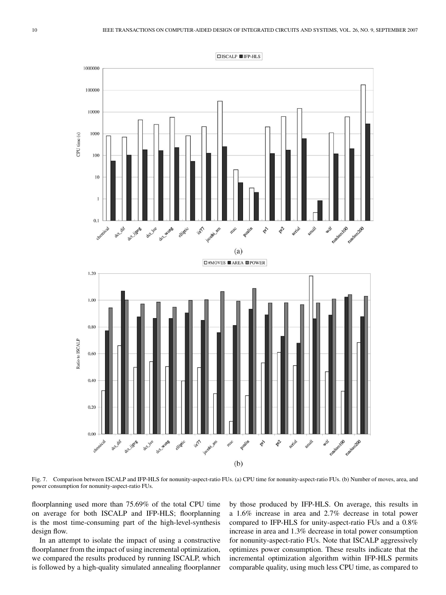

Fig. 7. Comparison between ISCALP and IFP-HLS for nonunity-aspect-ratio FUs. (a) CPU time for nonunity-aspect-ratio FUs. (b) Number of moves, area, and power consumption for nonunity-aspect-ratio FUs.

floorplanning used more than 75.69% of the total CPU time on average for both ISCALP and IFP-HLS; floorplanning is the most time-consuming part of the high-level-synthesis design flow.

In an attempt to isolate the impact of using a constructive floorplanner from the impact of using incremental optimization, we compared the results produced by running ISCALP, which is followed by a high-quality simulated annealing floorplanner by those produced by IFP-HLS. On average, this results in a 1.6% increase in area and 2.7% decrease in total power compared to IFP-HLS for unity-aspect-ratio FUs and a 0.8% increase in area and 1.3% decrease in total power consumption for nonunity-aspect-ratio FUs. Note that ISCALP aggressively optimizes power consumption. These results indicate that the incremental optimization algorithm within IFP-HLS permits comparable quality, using much less CPU time, as compared to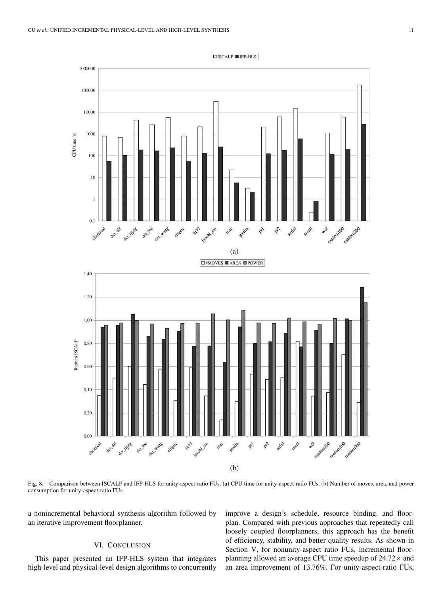

 $\fbox{DISCALP}\quad\hbox{I}\quad\hbox{FPP-HLS}$ 

Fig. 8. Comparison between ISCALP and IFP-HLS for unity-aspect-ratio FUs. (a) CPU time for unity-aspect-ratio FUs. (b) Number of moves, area, and power consumption for unity-aspect-ratio FUs.

mac

Paulin

 $(b)$ 

PH-

 $\sum_{i=1}^{n}$ 

iseconi sm

elipic

a nonincremental behavioral synthesis algorithm followed by an iterative improvement floorplanner.

 $0.00$ 

chemi

dct. dif

dat lipes

daylee dot\_wang

# VI. CONCLUSION

This paper presented an IFP-HLS system that integrates high-level and physical-level design algorithms to concurrently

improve a design's schedule, resource binding, and floorplan. Compared with previous approaches that repeatedly call loosely coupled floorplanners, this approach has the benefit of efficiency, stability, and better quality results. As shown in Section V, for nonunity-aspect ratio FUs, incremental floorplanning allowed an average CPU time speedup of  $24.72\times$  and an area improvement of 13.76%. For unity-aspect-ratio FUs,

Famdomitoo

WORK

Famdown200 Fandomado

Serial

PLD

Small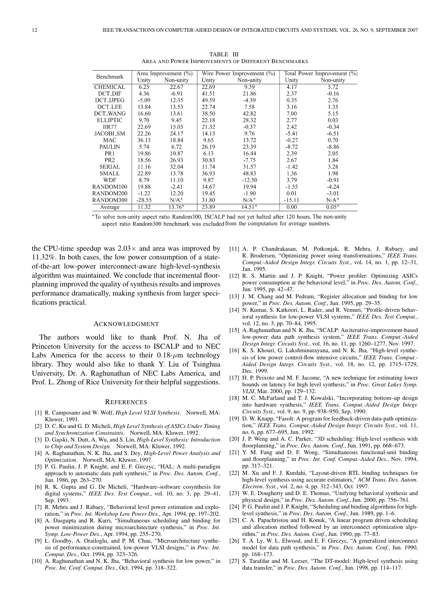|                  |          | Area Improvement $(\%)$ |       | Wire Power Improvement $(\%)$ | Total Power Improvement (%) |           |  |
|------------------|----------|-------------------------|-------|-------------------------------|-----------------------------|-----------|--|
| Benchmark        | Unity    | Non-unity               | Unity | Non-unity                     | Unity                       | Non-unity |  |
| <b>CHEMICAL</b>  | 6.23     | 22.67                   | 22.69 | 9.39                          | 4.17                        | 5.72      |  |
| <b>DCT_DIF</b>   | 4.36     | $-6.91$                 | 41.51 | 21.86                         | 2.37                        | $-0.16$   |  |
| <b>DCT_IJPEG</b> | $-5.09$  | 12.35                   | 49.59 | $-4.39$                       | 0.35                        | 2.76      |  |
| <b>DCT_LEE</b>   | 13.84    | 13.53                   | 22.74 | 7.58                          | 3.16                        | 1.35      |  |
| DCT_WANG         | 16.60    | 13.61                   | 38.50 | 42.82                         | 7.00                        | 5.15      |  |
| <b>ELLIPTIC</b>  | 9.70     | 9.45                    | 22.18 | 28.32                         | 2.77                        | 0.03      |  |
| IIR77            | 22.69    | 15.03                   | 21.32 | $-0.37$                       | 2.42                        | $-0.34$   |  |
| <b>JACOBLSM</b>  | 22.26    | 24.17                   | 14.13 | 9.76                          | $-5.41$                     | $-6.51$   |  |
| MAC              | 36.13    | 18.84                   | 9.65  | 13.72                         | $-0.27$                     | 0.70      |  |
| <b>PAULIN</b>    | 5.74     | 6.72                    | 26.19 | 23.39                         | $-8.72$                     | $-8.86$   |  |
| PR1              | 19.86    | 10.87                   | 6.13  | 16.44                         | 2.39                        | 2.05      |  |
| PR <sub>2</sub>  | 18.56    | 26.93                   | 30.83 | $-7.75$                       | 2.67                        | 1.84      |  |
| <b>SERIAL</b>    | 11.16    | 32.04                   | 11.74 | 31.57                         | $-1.42$                     | 3.28      |  |
| <b>SMALL</b>     | 22.89    | 13.78                   | 36.93 | 48.83                         | 1.36                        | 1.98      |  |
| <b>WDF</b>       | 8.79     | 11.10                   | 9.87  | $-12.50$                      | 3.79                        | $-0.91$   |  |
| RANDOM100        | 19.88    | $-2.41$                 | 14.67 | 19.94                         | $-1.55$                     | $-4.24$   |  |
| RANDOM200        | $-1.22$  | 12.20                   | 19.45 | $-1.90$                       | 0.01                        | $-3.01$   |  |
| RANDOM300        | $-28.55$ | $N/A^*$                 | 31.80 | $N/A^*$                       | $-15.11$                    | $N/A^*$   |  |
| Average          | 11.32    | 13.76*                  | 23.89 | $14.51*$                      | 0.00                        | $0.05*$   |  |

TABLE III AREA AND POWER IMPROVEMENTS OF DIFFERENT BENCHMARKS

\*To solve non-unity aspect ratio Random300, ISCALP had not yet halted after 120 hours. The non-unity aspect ratio Random300 benchmark was excluded from the computation for average numbers.

the CPU-time speedup was  $2.03 \times$  and area was improved by 11.32%. In both cases, the low power consumption of a stateof-the-art low-power interconnect-aware high-level-synthesis algorithm was maintained. We conclude that incremental floorplanning improved the quality of synthesis results and improves performance dramatically, making synthesis from larger specifications practical.

# ACKNOWLEDGMENT

The authors would like to thank Prof. N. Jha of Princeton University for the access to ISCALP and to NEC Labs America for the access to their  $0.18-\mu m$  technology library. They would also like to thank Y. Liu of Tsinghua University, Dr. A. Raghunathan of NEC Labs America, and Prof. L. Zhong of Rice University for their helpful suggestions.

#### **REFERENCES**

- [1] R. Camposano and W. Wolf, *High Level VLSI Synthesis*. Norwell, MA: Kluwer, 1991.
- [2] D. C. Ku and G. D. Micheli, *High Level Synthesis of ASICs Under Timing and Synchronization Constraints*. Norwell, MA: Kluwer, 1992.
- [3] D. Gajski, N. Dutt, A. Wu, and S. Lin, *High-Level Synthesis: Introduction to Chip and System Design*. Norwell, MA: Kluwer, 1992.
- [4] A. Raghunathan, N. K. Jha, and S. Dey, *High-Level Power Analysis and Optimization*. Norwell, MA: Kluwer, 1997.
- [5] P. G. Paulin, J. P. Knight, and E. F. Girczyc, "HAL: A multi-paradigm approach to automatic data path synthesis," in *Proc. Des. Autom. Conf.*, Jun. 1986, pp. 263–270.
- [6] R. K. Gupta and G. De Micheli, "Hardware–software cosynthesis for digital systems," *IEEE Des. Test Comput.*, vol. 10, no. 3, pp. 29–41, Sep. 1993.
- [7] R. Mehra and J. Rabaey, "Behavioral level power estimation and exploration," in *Proc. Int. Workshop Low Power Des.*, Apr. 1994, pp. 197–202.
- [8] A. Dasgupta and R. Karri, "Simultaneous scheduling and binding for power minimization during microarchitecture synthesis," in *Proc. Int. Symp. Low-Power Des.*, Apr. 1994, pp. 255–270.
- [9] L. Goodby, A. Orailoglu, and P. M. Chau, "Microarchitecture synthesis of performance-constrained, low-power VLSI designs," in *Proc. Int. Comput. Des.*, Oct. 1994, pp. 323–326.
- [10] A. Raghunathan and N. K. Jha, "Behavioral synthesis for low power," in *Proc. Int. Conf. Comput. Des.*, Oct. 1994, pp. 318–322.
- [11] A. P. Chandrakasan, M. Potkonjak, R. Mehra, J. Rabaey, and R. Brodersen, "Optimizing power using transformations," *IEEE Trans. Comput.-Aided Design Integr. Circuits Syst.*, vol. 14, no. 1, pp. 12–31, Jan. 1995.
- [12] R. S. Martin and J. P. Knight, "Power profiler: Optimizing ASICs power consumption at the behavioral level," in *Proc. Des. Autom. Conf.*, Jun. 1995, pp. 42–47.
- [13] J. M. Chang and M. Pedram, "Register allocation and binding for low power," in *Proc. Des. Autom. Conf.*, Jun. 1995, pp. 29–35.
- [14] N. Kumar, S. Katkoori, L. Rader, and R. Vemuri, "Profile-driven behavioral synthesis for low-power VLSI systems," *IEEE Des. Test Comput.*, vol. 12, no. 3, pp. 70-84, 1995.
- [15] A. Raghunathan and N. K. Jha, "SCALP: An iterative-improvement-based low-power data path synthesis system," *IEEE Trans. Comput.-Aided Design Integr. Circuits Syst.*, vol. 16, no. 11, pp. 1260–1277, Nov. 1997.
- [16] K. S. Khouri, G. Lakshminarayana, and N. K. Jha, "High-level synthesis of low power control-flow intensive circuits," *IEEE Trans. Comput.- Aided Design Integr. Circuits Syst.*, vol. 18, no. 12, pp. 1715–1729, Dec. 1999.
- [17] H. P. Peixoto and M. F. Jacome, "A new technique for estimating lower bounds on latency for high level synthesis," in *Proc. Great Lakes Symp. VLSI*, Mar. 2000, pp. 129–132.
- [18] M. C. McFarland and T. J. Kowalski, "Incorporating bottom–up design into hardware synthesis," *IEEE Trans. Comput.-Aided Design Integr. Circuits Syst.*, vol. 9, no. 9, pp. 938–950, Sep. 1990.
- [19] D. W. Knapp, "Fasolt: A program for feedback-driven data-path optimization," *IEEE Trans. Comput.-Aided Design Integr. Circuits Syst.*, vol. 11, no. 6, pp. 677–695, Jun. 1992.
- [20] J. P. Weng and A. C. Parker, "3D scheduling: High-level synthesis with floorplanning," in *Proc. Des. Autom. Conf.*, Jun. 1991, pp. 668–673.
- [21] Y. M. Fang and D. F. Wong, "Simultaneous functional-unit binding and floorplanning," in *Proc. Int. Conf. Comput.-Aided Des.*, Nov. 1994, pp. 317–321.
- [22] M. Xu and F. J. Kurdahi, "Layout-driven RTL binding techniques for high-level synthesis using accurate estimators," *ACM Trans. Des. Autom. Electron. Syst.*, vol. 2, no. 4, pp. 312–343, Oct. 1997.
- [23] W. E. Dougherty and D. E. Thomas, "Unifying behavioral synthesis and physical design," in *Proc. Des. Autom. Conf.*, Jun. 2000, pp. 756–761.
- [24] P. G. Paulin and J. P. Knight, "Scheduling and binding algorithms for highlevel synthesis," in *Proc. Des. Autom. Conf.*, Jun. 1989, pp. 1–6.
- [25] C. A. Papachristou and H. Konuk, "A linear program driven scheduling and allocation method followed by an interconnect optimization algorithm," in *Proc. Des. Autom. Conf.*, Jun. 1990, pp. 77–83.
- [26] T. A. Ly, W. L. Elwood, and E. F. Girczyc, "A generalized interconnect model for data path synthesis," in *Proc. Des. Autom. Conf.*, Jun. 1990, pp. 168–173.
- [27] S. Tarafdar and M. Leeser, "The DT-model: High-level synthesis using data transfer," in *Proc. Des. Autom. Conf.*, Jun. 1998, pp. 114–117.